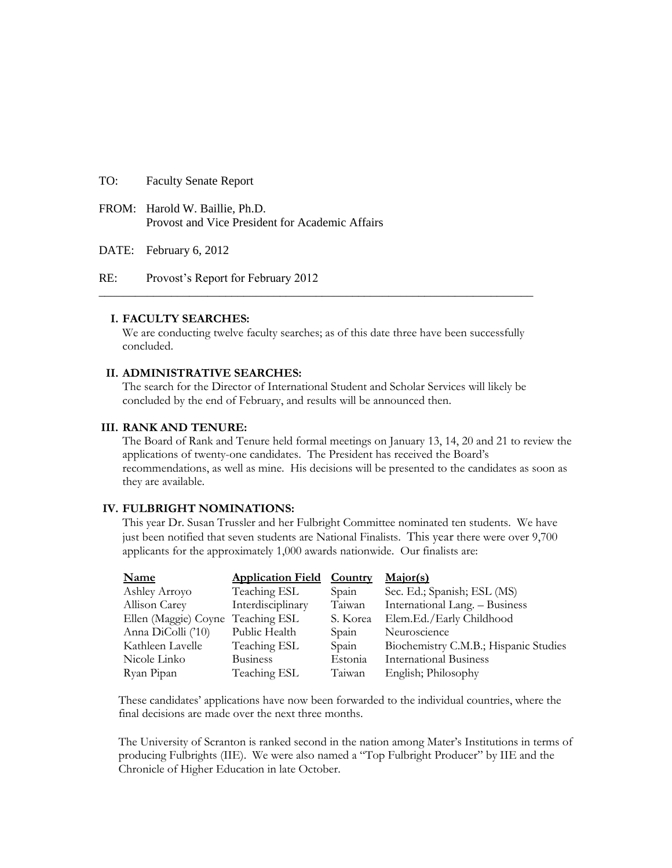- TO: Faculty Senate Report
- FROM: Harold W. Baillie, Ph.D. Provost and Vice President for Academic Affairs

DATE: February 6, 2012

RE: Provost's Report for February 2012

### **I. FACULTY SEARCHES:**

We are conducting twelve faculty searches; as of this date three have been successfully concluded.

**\_\_\_\_\_\_\_\_\_\_\_\_\_\_\_\_\_\_\_\_\_\_\_\_\_\_\_\_\_\_\_\_\_\_\_\_\_\_\_\_\_\_\_\_\_\_\_\_\_\_\_\_\_\_\_\_\_\_\_\_\_\_\_\_\_\_\_\_\_\_\_\_**

### **II. ADMINISTRATIVE SEARCHES:**

The search for the Director of International Student and Scholar Services will likely be concluded by the end of February, and results will be announced then.

### **III. RANK AND TENURE:**

The Board of Rank and Tenure held formal meetings on January 13, 14, 20 and 21 to review the applications of twenty-one candidates. The President has received the Board's recommendations, as well as mine. His decisions will be presented to the candidates as soon as they are available.

### **IV. FULBRIGHT NOMINATIONS:**

This year Dr. Susan Trussler and her Fulbright Committee nominated ten students. We have just been notified that seven students are National Finalists. This year there were over 9,700 applicants for the approximately 1,000 awards nationwide. Our finalists are:

| <b>Name</b>                       | <b>Application Field</b> | <b>Country</b> | Major(s)                              |
|-----------------------------------|--------------------------|----------------|---------------------------------------|
| Ashley Arroyo                     | Teaching ESL             | Spain          | Sec. Ed.; Spanish; ESL (MS)           |
| Allison Carey                     | Interdisciplinary        | Taiwan         | International Lang. - Business        |
| Ellen (Maggie) Coyne Teaching ESL |                          | S. Korea       | Elem.Ed./Early Childhood              |
| Anna DiColli ('10)                | Public Health            | Spain          | Neuroscience                          |
| Kathleen Lavelle                  | Teaching ESL             | Spain          | Biochemistry C.M.B.; Hispanic Studies |
| Nicole Linko                      | <b>Business</b>          | Estonia        | <b>International Business</b>         |
| Ryan Pipan                        | Teaching ESL             | Taiwan         | English; Philosophy                   |

These candidates' applications have now been forwarded to the individual countries, where the final decisions are made over the next three months.

The University of Scranton is ranked second in the nation among Mater's Institutions in terms of producing Fulbrights (IIE). We were also named a "Top Fulbright Producer" by IIE and the Chronicle of Higher Education in late October.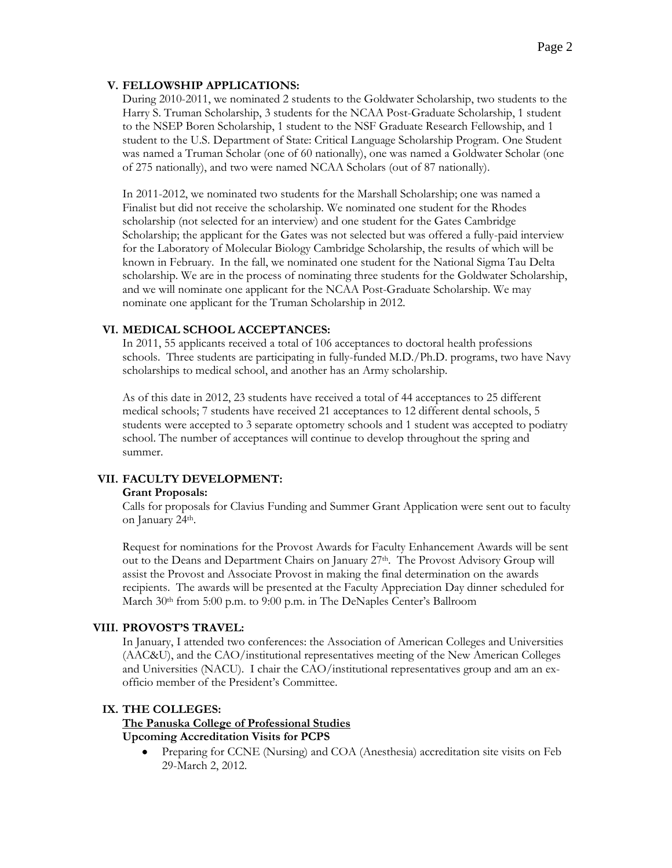### **V. FELLOWSHIP APPLICATIONS:**

During 2010-2011, we nominated 2 students to the Goldwater Scholarship, two students to the Harry S. Truman Scholarship, 3 students for the NCAA Post-Graduate Scholarship, 1 student to the NSEP Boren Scholarship, 1 student to the NSF Graduate Research Fellowship, and 1 student to the U.S. Department of State: Critical Language Scholarship Program. One Student was named a Truman Scholar (one of 60 nationally), one was named a Goldwater Scholar (one of 275 nationally), and two were named NCAA Scholars (out of 87 nationally).

In 2011-2012, we nominated two students for the Marshall Scholarship; one was named a Finalist but did not receive the scholarship. We nominated one student for the Rhodes scholarship (not selected for an interview) and one student for the Gates Cambridge Scholarship; the applicant for the Gates was not selected but was offered a fully-paid interview for the Laboratory of Molecular Biology Cambridge Scholarship, the results of which will be known in February. In the fall, we nominated one student for the National Sigma Tau Delta scholarship. We are in the process of nominating three students for the Goldwater Scholarship, and we will nominate one applicant for the NCAA Post-Graduate Scholarship. We may nominate one applicant for the Truman Scholarship in 2012.

### **VI. MEDICAL SCHOOL ACCEPTANCES:**

In 2011, 55 applicants received a total of 106 acceptances to doctoral health professions schools. Three students are participating in fully-funded M.D./Ph.D. programs, two have Navy scholarships to medical school, and another has an Army scholarship.

As of this date in 2012, 23 students have received a total of 44 acceptances to 25 different medical schools; 7 students have received 21 acceptances to 12 different dental schools, 5 students were accepted to 3 separate optometry schools and 1 student was accepted to podiatry school. The number of acceptances will continue to develop throughout the spring and summer.

### **VII. FACULTY DEVELOPMENT:**

#### **Grant Proposals:**

Calls for proposals for Clavius Funding and Summer Grant Application were sent out to faculty on January 24th.

Request for nominations for the Provost Awards for Faculty Enhancement Awards will be sent out to the Deans and Department Chairs on January 27<sup>th</sup>. The Provost Advisory Group will assist the Provost and Associate Provost in making the final determination on the awards recipients. The awards will be presented at the Faculty Appreciation Day dinner scheduled for March 30<sup>th</sup> from 5:00 p.m. to 9:00 p.m. in The DeNaples Center's Ballroom

### **VIII. PROVOST'S TRAVEL:**

In January, I attended two conferences: the Association of American Colleges and Universities (AAC&U), and the CAO/institutional representatives meeting of the New American Colleges and Universities (NACU). I chair the CAO/institutional representatives group and am an exofficio member of the President's Committee.

### **IX. THE COLLEGES:**

### **The Panuska College of Professional Studies Upcoming Accreditation Visits for PCPS**

Preparing for CCNE (Nursing) and COA (Anesthesia) accreditation site visits on Feb 29-March 2, 2012.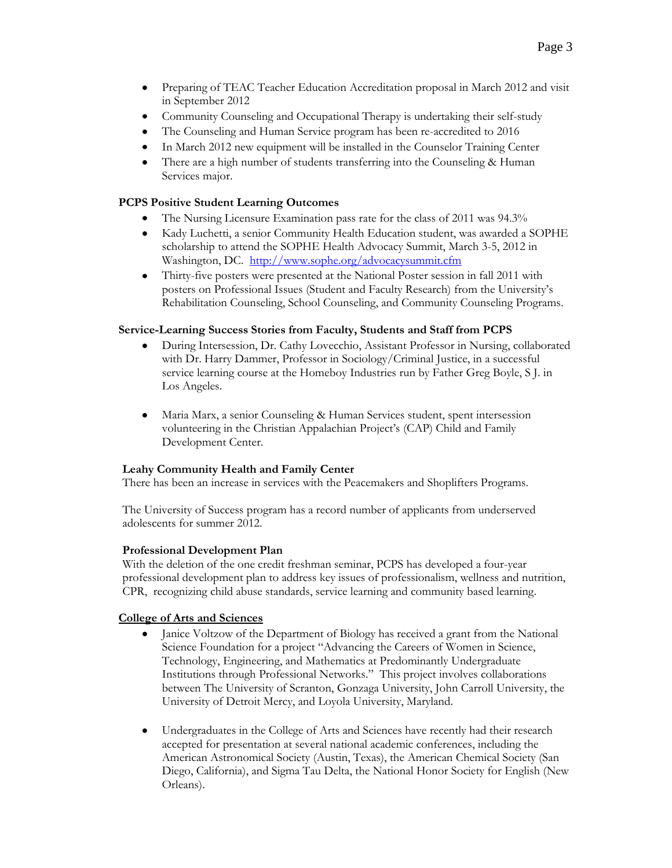- Preparing of TEAC Teacher Education Accreditation proposal in March 2012 and visit  $\bullet$ in September 2012
- Community Counseling and Occupational Therapy is undertaking their self-study
- The Counseling and Human Service program has been re-accredited to 2016
- In March 2012 new equipment will be installed in the Counselor Training Center  $\bullet$
- There are a high number of students transferring into the Counseling & Human Services major.

## **PCPS Positive Student Learning Outcomes**

- The Nursing Licensure Examination pass rate for the class of 2011 was 94.3%
- Kady Luchetti, a senior Community Health Education student, was awarded a SOPHE scholarship to attend the SOPHE Health Advocacy Summit, March 3-5, 2012 in Washington, DC. <http://www.sophe.org/advocacysummit.cfm>
- Thirty-five posters were presented at the National Poster session in fall 2011 with posters on Professional Issues (Student and Faculty Research) from the University's Rehabilitation Counseling, School Counseling, and Community Counseling Programs.

## **Service-Learning Success Stories from Faculty, Students and Staff from PCPS**

- During Intersession, Dr. Cathy Lovecchio, Assistant Professor in Nursing, collaborated with Dr. Harry Dammer, Professor in Sociology/Criminal Justice, in a successful service learning course at the Homeboy Industries run by Father Greg Boyle, S J. in Los Angeles.
- Maria Marx, a senior Counseling & Human Services student, spent intersession volunteering in the Christian Appalachian Project's (CAP) Child and Family Development Center.

## **Leahy Community Health and Family Center**

There has been an increase in services with the Peacemakers and Shoplifters Programs.

The University of Success program has a record number of applicants from underserved adolescents for summer 2012.

### **Professional Development Plan**

With the deletion of the one credit freshman seminar, PCPS has developed a four-year professional development plan to address key issues of professionalism, wellness and nutrition, CPR, recognizing child abuse standards, service learning and community based learning.

## **College of Arts and Sciences**

- Janice Voltzow of the Department of Biology has received a grant from the National Science Foundation for a project "Advancing the Careers of Women in Science, Technology, Engineering, and Mathematics at Predominantly Undergraduate Institutions through Professional Networks." This project involves collaborations between The University of Scranton, Gonzaga University, John Carroll University, the University of Detroit Mercy, and Loyola University, Maryland.
- Undergraduates in the College of Arts and Sciences have recently had their research accepted for presentation at several national academic conferences, including the American Astronomical Society (Austin, Texas), the American Chemical Society (San Diego, California), and Sigma Tau Delta, the National Honor Society for English (New Orleans).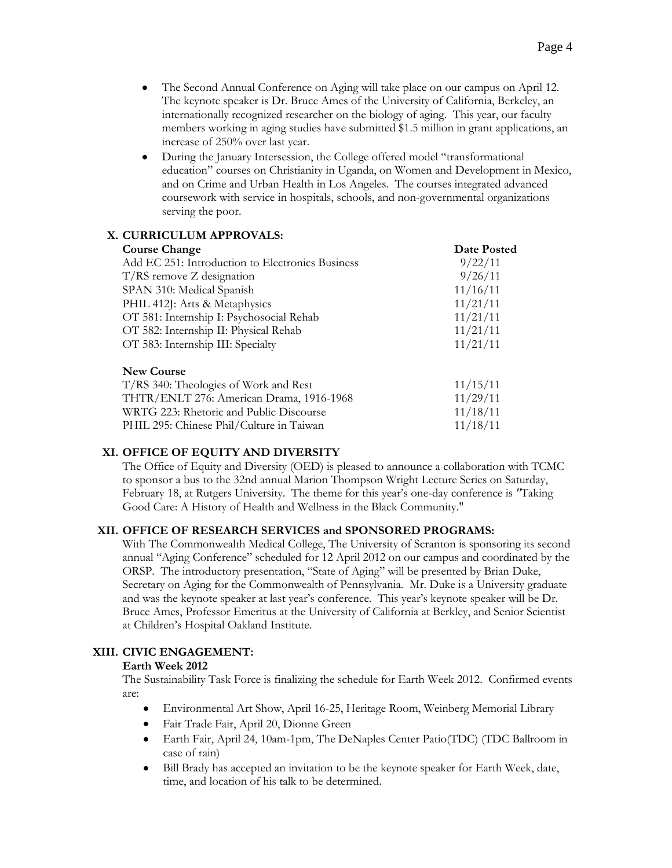- The Second Annual Conference on Aging will take place on our campus on April 12. The keynote speaker is Dr. Bruce Ames of the University of California, Berkeley, an internationally recognized researcher on the biology of aging. This year, our faculty members working in aging studies have submitted \$1.5 million in grant applications, an increase of 250% over last year.
- During the January Intersession, the College offered model "transformational education" courses on Christianity in Uganda, on Women and Development in Mexico, and on Crime and Urban Health in Los Angeles. The courses integrated advanced coursework with service in hospitals, schools, and non-governmental organizations serving the poor.

## **X. CURRICULUM APPROVALS:**

| <b>Course Change</b>                             | <b>Date Posted</b> |
|--------------------------------------------------|--------------------|
| Add EC 251: Introduction to Electronics Business | 9/22/11            |
| $T/RS$ remove Z designation                      | 9/26/11            |
| SPAN 310: Medical Spanish                        | 11/16/11           |
| PHIL 412J: Arts & Metaphysics                    | 11/21/11           |
| OT 581: Internship I: Psychosocial Rehab         | 11/21/11           |
| OT 582: Internship II: Physical Rehab            | 11/21/11           |
| OT 583: Internship III: Specialty                | 11/21/11           |
| <b>New Course</b>                                |                    |
| T/RS 340: Theologies of Work and Rest            | 11/15/11           |
| THTR/ENLT 276: American Drama, 1916-1968         | 11/29/11           |

WRTG 223: Rhetoric and Public Discourse 11/18/11 PHIL 295: Chinese Phil/Culture in Taiwan 11/18/11

# **XI. OFFICE OF EQUITY AND DIVERSITY**

The Office of Equity and Diversity (OED) is pleased to announce a collaboration with TCMC to sponsor a bus to the 32nd annual Marion Thompson Wright Lecture Series on Saturday, February 18, at Rutgers University. The theme for this year's one-day conference is *"*Taking Good Care: A History of Health and Wellness in the Black Community."

## **XII. OFFICE OF RESEARCH SERVICES and SPONSORED PROGRAMS:**

With The Commonwealth Medical College, The University of Scranton is sponsoring its second annual "Aging Conference" scheduled for 12 April 2012 on our campus and coordinated by the ORSP. The introductory presentation, "State of Aging" will be presented by Brian Duke, Secretary on Aging for the Commonwealth of Pennsylvania. Mr. Duke is a University graduate and was the keynote speaker at last year's conference. This year's keynote speaker will be Dr. Bruce Ames, Professor Emeritus at the University of California at Berkley, and Senior Scientist at Children's Hospital Oakland Institute.

## **XIII. CIVIC ENGAGEMENT:**

### **Earth Week 2012**

The Sustainability Task Force is finalizing the schedule for Earth Week 2012. Confirmed events are:

- Environmental Art Show, April 16-25, Heritage Room, Weinberg Memorial Library
- Fair Trade Fair, April 20, Dionne Green
- Earth Fair, April 24, 10am-1pm, The DeNaples Center Patio(TDC) (TDC Ballroom in case of rain)
- Bill Brady has accepted an invitation to be the keynote speaker for Earth Week, date, time, and location of his talk to be determined.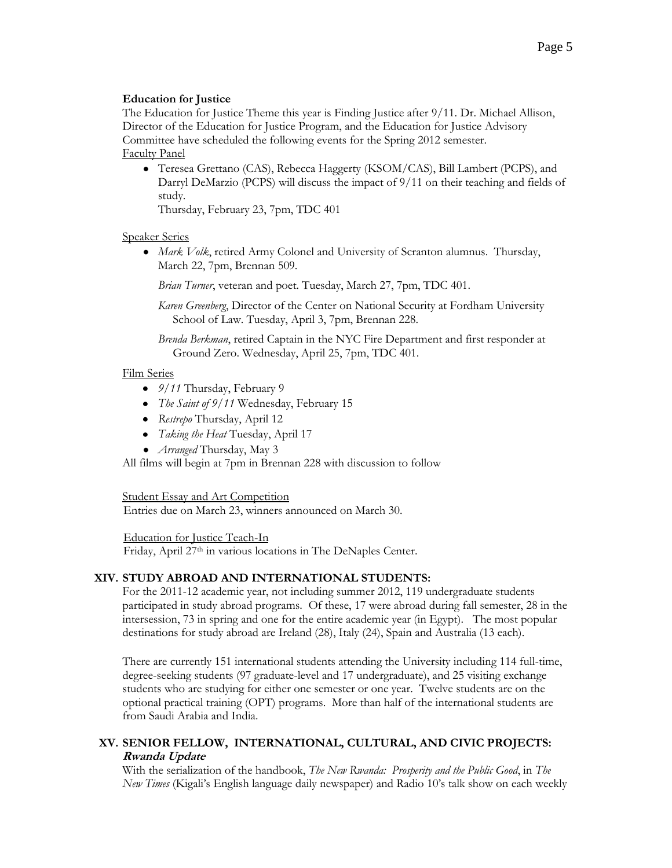### **Education for Justice**

The Education for Justice Theme this year is Finding Justice after 9/11. Dr. Michael Allison, Director of the Education for Justice Program, and the Education for Justice Advisory Committee have scheduled the following events for the Spring 2012 semester. Faculty Panel

Teresea Grettano (CAS), Rebecca Haggerty (KSOM/CAS), Bill Lambert (PCPS), and Darryl DeMarzio (PCPS) will discuss the impact of 9/11 on their teaching and fields of study.

Thursday, February 23, 7pm, TDC 401

### Speaker Series

*Mark Volk*, retired Army Colonel and University of Scranton alumnus. Thursday, March 22, 7pm, Brennan 509.

*Brian Turner*, veteran and poet. Tuesday, March 27, 7pm, TDC 401.

*Karen Greenberg*, Director of the Center on National Security at Fordham University School of Law. Tuesday, April 3, 7pm, Brennan 228.

*Brenda Berkman*, retired Captain in the NYC Fire Department and first responder at Ground Zero. Wednesday, April 25, 7pm, TDC 401.

### Film Series

- *9/11* Thursday, February 9
- *The Saint of 9/11* Wednesday, February 15
- *Restrepo* Thursday, April 12
- *Taking the Heat* Tuesday, April 17
- *Arranged* Thursday, May 3

All films will begin at 7pm in Brennan 228 with discussion to follow

**Student Essay and Art Competition** 

Entries due on March 23, winners announced on March 30.

Education for Justice Teach-In Friday, April 27<sup>th</sup> in various locations in The DeNaples Center.

### **XIV. STUDY ABROAD AND INTERNATIONAL STUDENTS:**

For the 2011-12 academic year, not including summer 2012, 119 undergraduate students participated in study abroad programs. Of these, 17 were abroad during fall semester, 28 in the intersession, 73 in spring and one for the entire academic year (in Egypt). The most popular destinations for study abroad are Ireland (28), Italy (24), Spain and Australia (13 each).

There are currently 151 international students attending the University including 114 full-time, degree-seeking students (97 graduate-level and 17 undergraduate), and 25 visiting exchange students who are studying for either one semester or one year. Twelve students are on the optional practical training (OPT) programs. More than half of the international students are from Saudi Arabia and India.

## **XV. SENIOR FELLOW, INTERNATIONAL, CULTURAL, AND CIVIC PROJECTS: Rwanda Update**

With the serialization of the handbook, *The New Rwanda: Prosperity and the Public Good*, in *The New Times* (Kigali's English language daily newspaper) and Radio 10's talk show on each weekly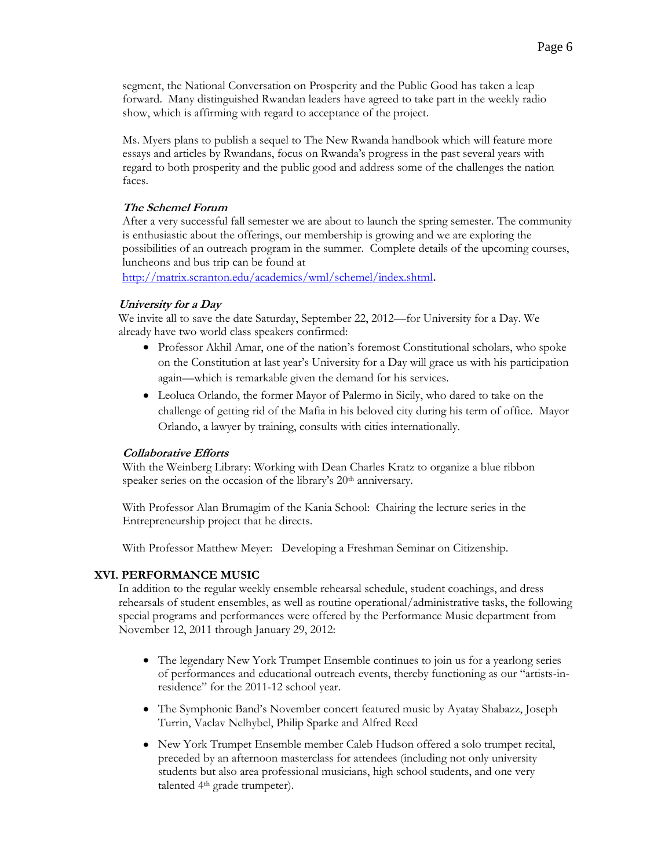segment, the National Conversation on Prosperity and the Public Good has taken a leap forward. Many distinguished Rwandan leaders have agreed to take part in the weekly radio show, which is affirming with regard to acceptance of the project.

Ms. Myers plans to publish a sequel to The New Rwanda handbook which will feature more essays and articles by Rwandans, focus on Rwanda's progress in the past several years with regard to both prosperity and the public good and address some of the challenges the nation faces.

### **The Schemel Forum**

After a very successful fall semester we are about to launch the spring semester. The community is enthusiastic about the offerings, our membership is growing and we are exploring the possibilities of an outreach program in the summer. Complete details of the upcoming courses, luncheons and bus trip can be found at

<http://matrix.scranton.edu/academics/wml/schemel/index.shtml>.

### **University for a Day**

We invite all to save the date Saturday, September 22, 2012—for University for a Day. We already have two world class speakers confirmed:

- Professor Akhil Amar, one of the nation's foremost Constitutional scholars, who spoke on the Constitution at last year's University for a Day will grace us with his participation again—which is remarkable given the demand for his services.
- Leoluca Orlando, the former Mayor of Palermo in Sicily, who dared to take on the challenge of getting rid of the Mafia in his beloved city during his term of office. Mayor Orlando, a lawyer by training, consults with cities internationally.

## **Collaborative Efforts**

With the Weinberg Library: Working with Dean Charles Kratz to organize a blue ribbon speaker series on the occasion of the library's 20<sup>th</sup> anniversary.

With Professor Alan Brumagim of the Kania School: Chairing the lecture series in the Entrepreneurship project that he directs.

With Professor Matthew Meyer: Developing a Freshman Seminar on Citizenship.

## **XVI. PERFORMANCE MUSIC**

In addition to the regular weekly ensemble rehearsal schedule, student coachings, and dress rehearsals of student ensembles, as well as routine operational/administrative tasks, the following special programs and performances were offered by the Performance Music department from November 12, 2011 through January 29, 2012:

- The legendary New York Trumpet Ensemble continues to join us for a yearlong series of performances and educational outreach events, thereby functioning as our "artists-inresidence" for the 2011-12 school year.
- The Symphonic Band's November concert featured music by Ayatay Shabazz, Joseph Turrin, Vaclav Nelhybel, Philip Sparke and Alfred Reed
- New York Trumpet Ensemble member Caleb Hudson offered a solo trumpet recital, preceded by an afternoon masterclass for attendees (including not only university students but also area professional musicians, high school students, and one very talented 4th grade trumpeter).